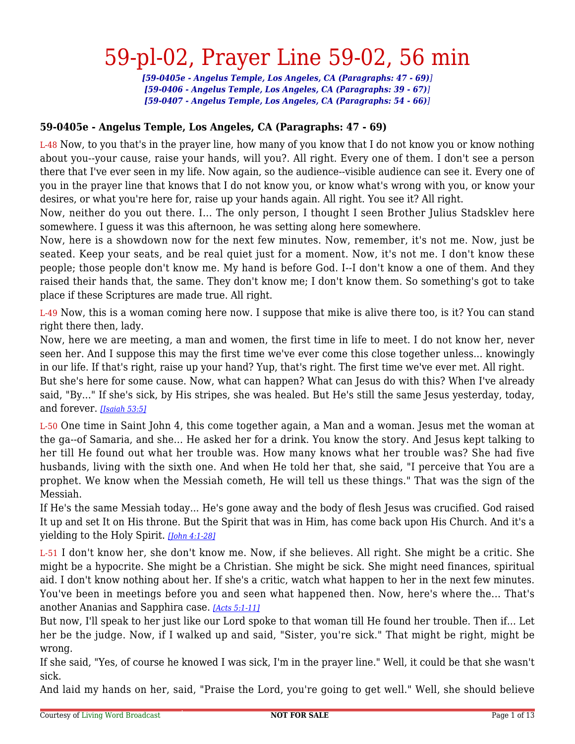*[59-0405e - Angelus Temple, Los Angeles, CA (Paragraphs: 47 - 69)] [59-0406 - Angelus Temple, Los Angeles, CA (Paragraphs: 39 - 67)] [59-0407 - Angelus Temple, Los Angeles, CA (Paragraphs: 54 - 66)]*

#### **59-0405e - Angelus Temple, Los Angeles, CA (Paragraphs: 47 - 69)**

L-48 Now, to you that's in the prayer line, how many of you know that I do not know you or know nothing about you--your cause, raise your hands, will you?. All right. Every one of them. I don't see a person there that I've ever seen in my life. Now again, so the audience--visible audience can see it. Every one of you in the prayer line that knows that I do not know you, or know what's wrong with you, or know your desires, or what you're here for, raise up your hands again. All right. You see it? All right.

Now, neither do you out there. I... The only person, I thought I seen Brother Julius Stadsklev here somewhere. I guess it was this afternoon, he was setting along here somewhere.

Now, here is a showdown now for the next few minutes. Now, remember, it's not me. Now, just be seated. Keep your seats, and be real quiet just for a moment. Now, it's not me. I don't know these people; those people don't know me. My hand is before God. I--I don't know a one of them. And they raised their hands that, the same. They don't know me; I don't know them. So something's got to take place if these Scriptures are made true. All right.

L-49 Now, this is a woman coming here now. I suppose that mike is alive there too, is it? You can stand right there then, lady.

Now, here we are meeting, a man and women, the first time in life to meet. I do not know her, never seen her. And I suppose this may the first time we've ever come this close together unless... knowingly in our life. If that's right, raise up your hand? Yup, that's right. The first time we've ever met. All right.

But she's here for some cause. Now, what can happen? What can Jesus do with this? When I've already said, "By..." If she's sick, by His stripes, she was healed. But He's still the same Jesus yesterday, today, and forever. *[\[Isaiah 53:5\]](https://www.livingwordbroadcast.org/LWBKJVBible/?scripture=Isaiah53:5)*

L-50 One time in Saint John 4, this come together again, a Man and a woman. Jesus met the woman at the ga--of Samaria, and she... He asked her for a drink. You know the story. And Jesus kept talking to her till He found out what her trouble was. How many knows what her trouble was? She had five husbands, living with the sixth one. And when He told her that, she said, "I perceive that You are a prophet. We know when the Messiah cometh, He will tell us these things." That was the sign of the Messiah.

If He's the same Messiah today... He's gone away and the body of flesh Jesus was crucified. God raised It up and set It on His throne. But the Spirit that was in Him, has come back upon His Church. And it's a yielding to the Holy Spirit. *[\[John 4:1-28\]](https://www.livingwordbroadcast.org/LWBKJVBible/?scripture=John4:1)*

L-51 I don't know her, she don't know me. Now, if she believes. All right. She might be a critic. She might be a hypocrite. She might be a Christian. She might be sick. She might need finances, spiritual aid. I don't know nothing about her. If she's a critic, watch what happen to her in the next few minutes. You've been in meetings before you and seen what happened then. Now, here's where the... That's another Ananias and Sapphira case. *[\[Acts 5:1-11\]](https://www.livingwordbroadcast.org/LWBKJVBible/?scripture=Acts5:1)*

But now, I'll speak to her just like our Lord spoke to that woman till He found her trouble. Then if... Let her be the judge. Now, if I walked up and said, "Sister, you're sick." That might be right, might be wrong.

If she said, "Yes, of course he knowed I was sick, I'm in the prayer line." Well, it could be that she wasn't sick.

And laid my hands on her, said, "Praise the Lord, you're going to get well." Well, she should believe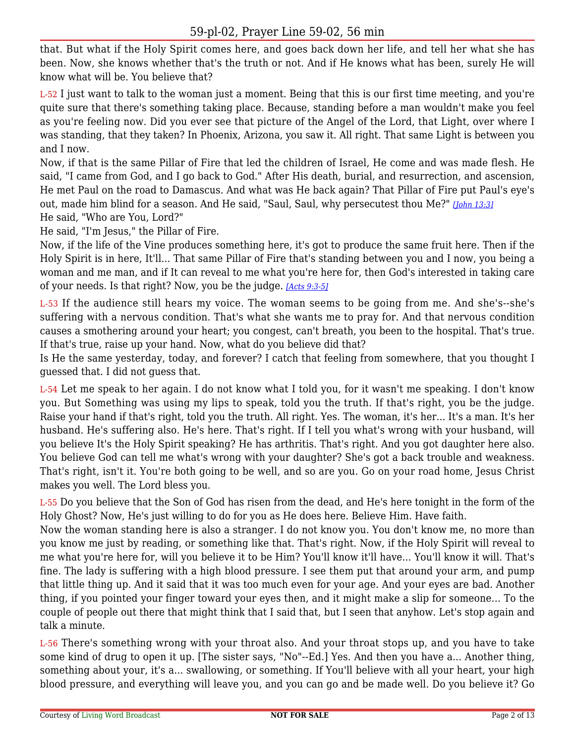that. But what if the Holy Spirit comes here, and goes back down her life, and tell her what she has been. Now, she knows whether that's the truth or not. And if He knows what has been, surely He will know what will be. You believe that?

L-52 I just want to talk to the woman just a moment. Being that this is our first time meeting, and you're quite sure that there's something taking place. Because, standing before a man wouldn't make you feel as you're feeling now. Did you ever see that picture of the Angel of the Lord, that Light, over where I was standing, that they taken? In Phoenix, Arizona, you saw it. All right. That same Light is between you and I now.

Now, if that is the same Pillar of Fire that led the children of Israel, He come and was made flesh. He said, "I came from God, and I go back to God." After His death, burial, and resurrection, and ascension, He met Paul on the road to Damascus. And what was He back again? That Pillar of Fire put Paul's eye's out, made him blind for a season. And He said, "Saul, Saul, why persecutest thou Me?" *[\[John 13:3\]](https://www.livingwordbroadcast.org/LWBKJVBible/?scripture=John13:3)* He said, "Who are You, Lord?"

He said, "I'm Jesus," the Pillar of Fire.

Now, if the life of the Vine produces something here, it's got to produce the same fruit here. Then if the Holy Spirit is in here, It'll... That same Pillar of Fire that's standing between you and I now, you being a woman and me man, and if It can reveal to me what you're here for, then God's interested in taking care of your needs. Is that right? Now, you be the judge. *[\[Acts 9:3-5\]](https://www.livingwordbroadcast.org/LWBKJVBible/?scripture=Acts9:3)*

L-53 If the audience still hears my voice. The woman seems to be going from me. And she's--she's suffering with a nervous condition. That's what she wants me to pray for. And that nervous condition causes a smothering around your heart; you congest, can't breath, you been to the hospital. That's true. If that's true, raise up your hand. Now, what do you believe did that?

Is He the same yesterday, today, and forever? I catch that feeling from somewhere, that you thought I guessed that. I did not guess that.

L-54 Let me speak to her again. I do not know what I told you, for it wasn't me speaking. I don't know you. But Something was using my lips to speak, told you the truth. If that's right, you be the judge. Raise your hand if that's right, told you the truth. All right. Yes. The woman, it's her... It's a man. It's her husband. He's suffering also. He's here. That's right. If I tell you what's wrong with your husband, will you believe It's the Holy Spirit speaking? He has arthritis. That's right. And you got daughter here also. You believe God can tell me what's wrong with your daughter? She's got a back trouble and weakness. That's right, isn't it. You're both going to be well, and so are you. Go on your road home, Jesus Christ makes you well. The Lord bless you.

L-55 Do you believe that the Son of God has risen from the dead, and He's here tonight in the form of the Holy Ghost? Now, He's just willing to do for you as He does here. Believe Him. Have faith.

Now the woman standing here is also a stranger. I do not know you. You don't know me, no more than you know me just by reading, or something like that. That's right. Now, if the Holy Spirit will reveal to me what you're here for, will you believe it to be Him? You'll know it'll have... You'll know it will. That's fine. The lady is suffering with a high blood pressure. I see them put that around your arm, and pump that little thing up. And it said that it was too much even for your age. And your eyes are bad. Another thing, if you pointed your finger toward your eyes then, and it might make a slip for someone... To the couple of people out there that might think that I said that, but I seen that anyhow. Let's stop again and talk a minute.

L-56 There's something wrong with your throat also. And your throat stops up, and you have to take some kind of drug to open it up. [The sister says, "No"--Ed.] Yes. And then you have a... Another thing, something about your, it's a... swallowing, or something. If You'll believe with all your heart, your high blood pressure, and everything will leave you, and you can go and be made well. Do you believe it? Go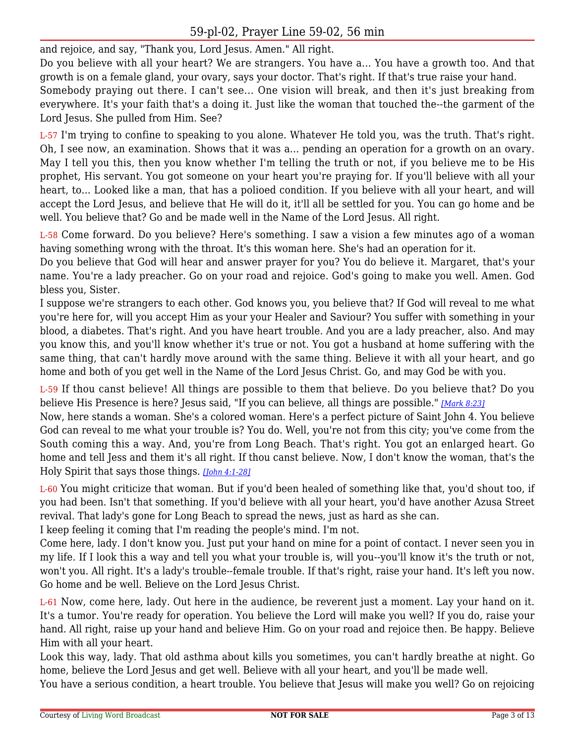and rejoice, and say, "Thank you, Lord Jesus. Amen." All right.

Do you believe with all your heart? We are strangers. You have a... You have a growth too. And that growth is on a female gland, your ovary, says your doctor. That's right. If that's true raise your hand.

Somebody praying out there. I can't see... One vision will break, and then it's just breaking from everywhere. It's your faith that's a doing it. Just like the woman that touched the--the garment of the Lord Jesus. She pulled from Him. See?

L-57 I'm trying to confine to speaking to you alone. Whatever He told you, was the truth. That's right. Oh, I see now, an examination. Shows that it was a... pending an operation for a growth on an ovary. May I tell you this, then you know whether I'm telling the truth or not, if you believe me to be His prophet, His servant. You got someone on your heart you're praying for. If you'll believe with all your heart, to... Looked like a man, that has a polioed condition. If you believe with all your heart, and will accept the Lord Jesus, and believe that He will do it, it'll all be settled for you. You can go home and be well. You believe that? Go and be made well in the Name of the Lord Jesus. All right.

L-58 Come forward. Do you believe? Here's something. I saw a vision a few minutes ago of a woman having something wrong with the throat. It's this woman here. She's had an operation for it.

Do you believe that God will hear and answer prayer for you? You do believe it. Margaret, that's your name. You're a lady preacher. Go on your road and rejoice. God's going to make you well. Amen. God bless you, Sister.

I suppose we're strangers to each other. God knows you, you believe that? If God will reveal to me what you're here for, will you accept Him as your your Healer and Saviour? You suffer with something in your blood, a diabetes. That's right. And you have heart trouble. And you are a lady preacher, also. And may you know this, and you'll know whether it's true or not. You got a husband at home suffering with the same thing, that can't hardly move around with the same thing. Believe it with all your heart, and go home and both of you get well in the Name of the Lord Jesus Christ. Go, and may God be with you.

L-59 If thou canst believe! All things are possible to them that believe. Do you believe that? Do you believe His Presence is here? Jesus said, "If you can believe, all things are possible." *[\[Mark 8:23\]](https://www.livingwordbroadcast.org/LWBKJVBible/?scripture=Mark8:23)*

Now, here stands a woman. She's a colored woman. Here's a perfect picture of Saint John 4. You believe God can reveal to me what your trouble is? You do. Well, you're not from this city; you've come from the South coming this a way. And, you're from Long Beach. That's right. You got an enlarged heart. Go home and tell Jess and them it's all right. If thou canst believe. Now, I don't know the woman, that's the Holy Spirit that says those things. *[\[John 4:1-28\]](https://www.livingwordbroadcast.org/LWBKJVBible/?scripture=John4:1)*

L-60 You might criticize that woman. But if you'd been healed of something like that, you'd shout too, if you had been. Isn't that something. If you'd believe with all your heart, you'd have another Azusa Street revival. That lady's gone for Long Beach to spread the news, just as hard as she can.

I keep feeling it coming that I'm reading the people's mind. I'm not.

Come here, lady. I don't know you. Just put your hand on mine for a point of contact. I never seen you in my life. If I look this a way and tell you what your trouble is, will you--you'll know it's the truth or not, won't you. All right. It's a lady's trouble--female trouble. If that's right, raise your hand. It's left you now. Go home and be well. Believe on the Lord Jesus Christ.

L-61 Now, come here, lady. Out here in the audience, be reverent just a moment. Lay your hand on it. It's a tumor. You're ready for operation. You believe the Lord will make you well? If you do, raise your hand. All right, raise up your hand and believe Him. Go on your road and rejoice then. Be happy. Believe Him with all your heart.

Look this way, lady. That old asthma about kills you sometimes, you can't hardly breathe at night. Go home, believe the Lord Jesus and get well. Believe with all your heart, and you'll be made well.

You have a serious condition, a heart trouble. You believe that Jesus will make you well? Go on rejoicing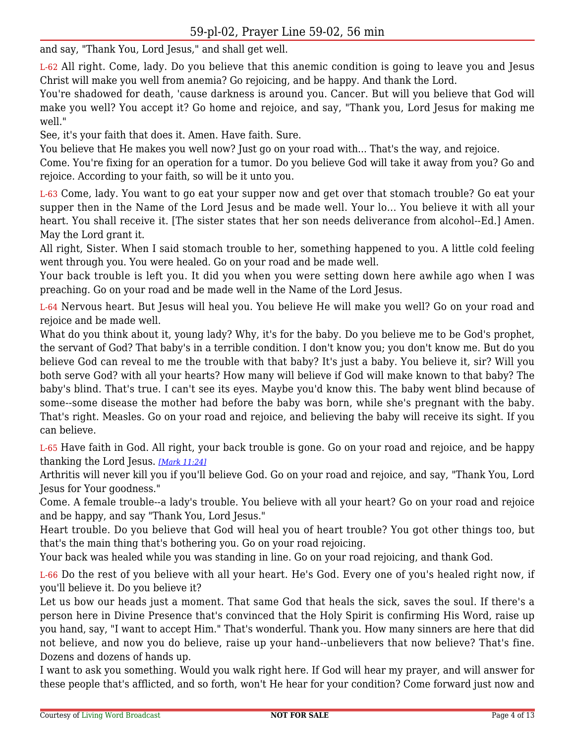and say, "Thank You, Lord Jesus," and shall get well.

L-62 All right. Come, lady. Do you believe that this anemic condition is going to leave you and Jesus Christ will make you well from anemia? Go rejoicing, and be happy. And thank the Lord.

You're shadowed for death, 'cause darkness is around you. Cancer. But will you believe that God will make you well? You accept it? Go home and rejoice, and say, "Thank you, Lord Jesus for making me well."

See, it's your faith that does it. Amen. Have faith. Sure.

You believe that He makes you well now? Just go on your road with... That's the way, and rejoice.

Come. You're fixing for an operation for a tumor. Do you believe God will take it away from you? Go and rejoice. According to your faith, so will be it unto you.

L-63 Come, lady. You want to go eat your supper now and get over that stomach trouble? Go eat your supper then in the Name of the Lord Jesus and be made well. Your lo... You believe it with all your heart. You shall receive it. [The sister states that her son needs deliverance from alcohol--Ed.] Amen. May the Lord grant it.

All right, Sister. When I said stomach trouble to her, something happened to you. A little cold feeling went through you. You were healed. Go on your road and be made well.

Your back trouble is left you. It did you when you were setting down here awhile ago when I was preaching. Go on your road and be made well in the Name of the Lord Jesus.

L-64 Nervous heart. But Jesus will heal you. You believe He will make you well? Go on your road and rejoice and be made well.

What do you think about it, young lady? Why, it's for the baby. Do you believe me to be God's prophet, the servant of God? That baby's in a terrible condition. I don't know you; you don't know me. But do you believe God can reveal to me the trouble with that baby? It's just a baby. You believe it, sir? Will you both serve God? with all your hearts? How many will believe if God will make known to that baby? The baby's blind. That's true. I can't see its eyes. Maybe you'd know this. The baby went blind because of some--some disease the mother had before the baby was born, while she's pregnant with the baby. That's right. Measles. Go on your road and rejoice, and believing the baby will receive its sight. If you can believe.

L-65 Have faith in God. All right, your back trouble is gone. Go on your road and rejoice, and be happy thanking the Lord Jesus. *[\[Mark 11:24\]](https://www.livingwordbroadcast.org/LWBKJVBible/?scripture=Mark11:24)*

Arthritis will never kill you if you'll believe God. Go on your road and rejoice, and say, "Thank You, Lord Jesus for Your goodness."

Come. A female trouble--a lady's trouble. You believe with all your heart? Go on your road and rejoice and be happy, and say "Thank You, Lord Jesus."

Heart trouble. Do you believe that God will heal you of heart trouble? You got other things too, but that's the main thing that's bothering you. Go on your road rejoicing.

Your back was healed while you was standing in line. Go on your road rejoicing, and thank God.

L-66 Do the rest of you believe with all your heart. He's God. Every one of you's healed right now, if you'll believe it. Do you believe it?

Let us bow our heads just a moment. That same God that heals the sick, saves the soul. If there's a person here in Divine Presence that's convinced that the Holy Spirit is confirming His Word, raise up you hand, say, "I want to accept Him." That's wonderful. Thank you. How many sinners are here that did not believe, and now you do believe, raise up your hand--unbelievers that now believe? That's fine. Dozens and dozens of hands up.

I want to ask you something. Would you walk right here. If God will hear my prayer, and will answer for these people that's afflicted, and so forth, won't He hear for your condition? Come forward just now and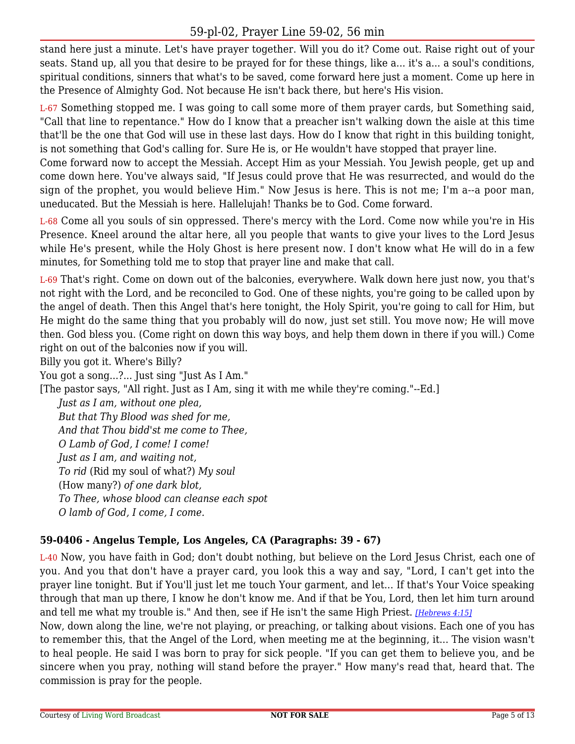stand here just a minute. Let's have prayer together. Will you do it? Come out. Raise right out of your seats. Stand up, all you that desire to be prayed for for these things, like a... it's a... a soul's conditions, spiritual conditions, sinners that what's to be saved, come forward here just a moment. Come up here in the Presence of Almighty God. Not because He isn't back there, but here's His vision.

L-67 Something stopped me. I was going to call some more of them prayer cards, but Something said, "Call that line to repentance." How do I know that a preacher isn't walking down the aisle at this time that'll be the one that God will use in these last days. How do I know that right in this building tonight, is not something that God's calling for. Sure He is, or He wouldn't have stopped that prayer line.

Come forward now to accept the Messiah. Accept Him as your Messiah. You Jewish people, get up and come down here. You've always said, "If Jesus could prove that He was resurrected, and would do the sign of the prophet, you would believe Him." Now Jesus is here. This is not me; I'm a--a poor man, uneducated. But the Messiah is here. Hallelujah! Thanks be to God. Come forward.

L-68 Come all you souls of sin oppressed. There's mercy with the Lord. Come now while you're in His Presence. Kneel around the altar here, all you people that wants to give your lives to the Lord Jesus while He's present, while the Holy Ghost is here present now. I don't know what He will do in a few minutes, for Something told me to stop that prayer line and make that call.

L-69 That's right. Come on down out of the balconies, everywhere. Walk down here just now, you that's not right with the Lord, and be reconciled to God. One of these nights, you're going to be called upon by the angel of death. Then this Angel that's here tonight, the Holy Spirit, you're going to call for Him, but He might do the same thing that you probably will do now, just set still. You move now; He will move then. God bless you. (Come right on down this way boys, and help them down in there if you will.) Come right on out of the balconies now if you will.

Billy you got it. Where's Billy?

You got a song...?... Just sing "Just As I Am."

[The pastor says, "All right. Just as I Am, sing it with me while they're coming."--Ed.]

*Just as I am, without one plea, But that Thy Blood was shed for me, And that Thou bidd'st me come to Thee, O Lamb of God, I come! I come! Just as I am, and waiting not, To rid* (Rid my soul of what?) *My soul* (How many?) *of one dark blot, To Thee, whose blood can cleanse each spot O lamb of God, I come, I come.*

#### **59-0406 - Angelus Temple, Los Angeles, CA (Paragraphs: 39 - 67)**

L-40 Now, you have faith in God; don't doubt nothing, but believe on the Lord Jesus Christ, each one of you. And you that don't have a prayer card, you look this a way and say, "Lord, I can't get into the prayer line tonight. But if You'll just let me touch Your garment, and let... If that's Your Voice speaking through that man up there, I know he don't know me. And if that be You, Lord, then let him turn around and tell me what my trouble is." And then, see if He isn't the same High Priest. *[\[Hebrews 4:15\]](https://www.livingwordbroadcast.org/LWBKJVBible/?scripture=Hebrews4:15)*

Now, down along the line, we're not playing, or preaching, or talking about visions. Each one of you has to remember this, that the Angel of the Lord, when meeting me at the beginning, it... The vision wasn't to heal people. He said I was born to pray for sick people. "If you can get them to believe you, and be sincere when you pray, nothing will stand before the prayer." How many's read that, heard that. The commission is pray for the people.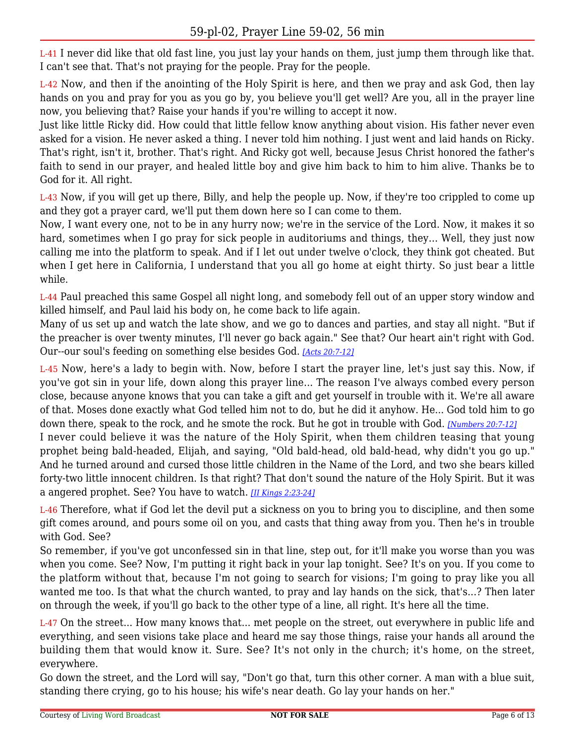L-41 I never did like that old fast line, you just lay your hands on them, just jump them through like that. I can't see that. That's not praying for the people. Pray for the people.

L-42 Now, and then if the anointing of the Holy Spirit is here, and then we pray and ask God, then lay hands on you and pray for you as you go by, you believe you'll get well? Are you, all in the prayer line now, you believing that? Raise your hands if you're willing to accept it now.

Just like little Ricky did. How could that little fellow know anything about vision. His father never even asked for a vision. He never asked a thing. I never told him nothing. I just went and laid hands on Ricky. That's right, isn't it, brother. That's right. And Ricky got well, because Jesus Christ honored the father's faith to send in our prayer, and healed little boy and give him back to him to him alive. Thanks be to God for it. All right.

L-43 Now, if you will get up there, Billy, and help the people up. Now, if they're too crippled to come up and they got a prayer card, we'll put them down here so I can come to them.

Now, I want every one, not to be in any hurry now; we're in the service of the Lord. Now, it makes it so hard, sometimes when I go pray for sick people in auditoriums and things, they... Well, they just now calling me into the platform to speak. And if I let out under twelve o'clock, they think got cheated. But when I get here in California, I understand that you all go home at eight thirty. So just bear a little while.

L-44 Paul preached this same Gospel all night long, and somebody fell out of an upper story window and killed himself, and Paul laid his body on, he come back to life again.

Many of us set up and watch the late show, and we go to dances and parties, and stay all night. "But if the preacher is over twenty minutes, I'll never go back again." See that? Our heart ain't right with God. Our--our soul's feeding on something else besides God. *[\[Acts 20:7-12\]](https://www.livingwordbroadcast.org/LWBKJVBible/?scripture=Acts20:7)*

L-45 Now, here's a lady to begin with. Now, before I start the prayer line, let's just say this. Now, if you've got sin in your life, down along this prayer line... The reason I've always combed every person close, because anyone knows that you can take a gift and get yourself in trouble with it. We're all aware of that. Moses done exactly what God telled him not to do, but he did it anyhow. He... God told him to go down there, speak to the rock, and he smote the rock. But he got in trouble with God. *[\[Numbers 20:7-12\]](https://www.livingwordbroadcast.org/LWBKJVBible/?scripture=Numbers20:7)*

I never could believe it was the nature of the Holy Spirit, when them children teasing that young prophet being bald-headed, Elijah, and saying, "Old bald-head, old bald-head, why didn't you go up." And he turned around and cursed those little children in the Name of the Lord, and two she bears killed forty-two little innocent children. Is that right? That don't sound the nature of the Holy Spirit. But it was a angered prophet. See? You have to watch. *[\[II Kings 2:23-24\]](https://www.livingwordbroadcast.org/LWBKJVBible/?scripture=2_Kings2:23)*

L-46 Therefore, what if God let the devil put a sickness on you to bring you to discipline, and then some gift comes around, and pours some oil on you, and casts that thing away from you. Then he's in trouble with God. See?

So remember, if you've got unconfessed sin in that line, step out, for it'll make you worse than you was when you come. See? Now, I'm putting it right back in your lap tonight. See? It's on you. If you come to the platform without that, because I'm not going to search for visions; I'm going to pray like you all wanted me too. Is that what the church wanted, to pray and lay hands on the sick, that's...? Then later on through the week, if you'll go back to the other type of a line, all right. It's here all the time.

L-47 On the street... How many knows that... met people on the street, out everywhere in public life and everything, and seen visions take place and heard me say those things, raise your hands all around the building them that would know it. Sure. See? It's not only in the church; it's home, on the street, everywhere.

Go down the street, and the Lord will say, "Don't go that, turn this other corner. A man with a blue suit, standing there crying, go to his house; his wife's near death. Go lay your hands on her."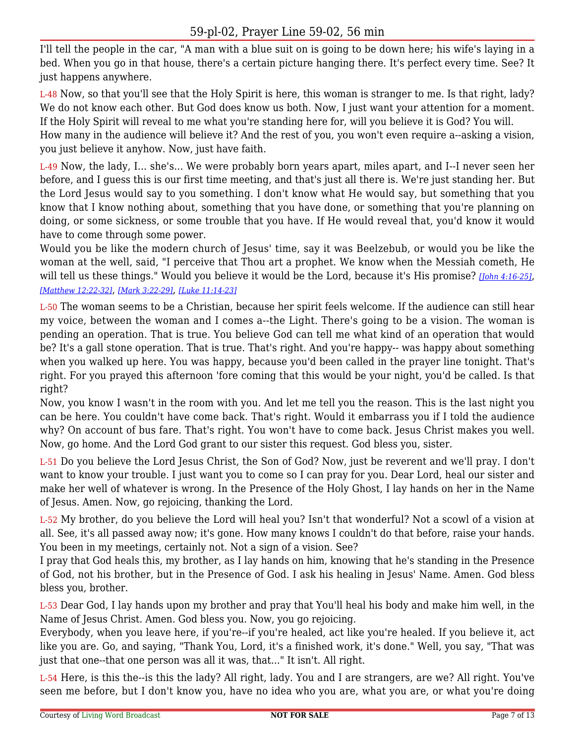I'll tell the people in the car, "A man with a blue suit on is going to be down here; his wife's laying in a bed. When you go in that house, there's a certain picture hanging there. It's perfect every time. See? It just happens anywhere.

L-48 Now, so that you'll see that the Holy Spirit is here, this woman is stranger to me. Is that right, lady? We do not know each other. But God does know us both. Now, I just want your attention for a moment. If the Holy Spirit will reveal to me what you're standing here for, will you believe it is God? You will. How many in the audience will believe it? And the rest of you, you won't even require a--asking a vision, you just believe it anyhow. Now, just have faith.

L-49 Now, the lady, I... she's... We were probably born years apart, miles apart, and I--I never seen her before, and I guess this is our first time meeting, and that's just all there is. We're just standing her. But the Lord Jesus would say to you something. I don't know what He would say, but something that you know that I know nothing about, something that you have done, or something that you're planning on doing, or some sickness, or some trouble that you have. If He would reveal that, you'd know it would have to come through some power.

Would you be like the modern church of Jesus' time, say it was Beelzebub, or would you be like the woman at the well, said, "I perceive that Thou art a prophet. We know when the Messiah cometh, He will tell us these things." Would you believe it would be the Lord, because it's His promise? *[\[John 4:16-25\]](https://www.livingwordbroadcast.org/LWBKJVBible/?scripture=John4:16)*, *[\[Matthew 12:22-32\]](https://www.livingwordbroadcast.org/LWBKJVBible/?scripture=Matthew12:22)*, *[\[Mark 3:22-29\]](https://www.livingwordbroadcast.org/LWBKJVBible/?scripture=Mark3:22)*, *[\[Luke 11:14-23\]](https://www.livingwordbroadcast.org/LWBKJVBible/?scripture=Luke11:14)*

L-50 The woman seems to be a Christian, because her spirit feels welcome. If the audience can still hear my voice, between the woman and I comes a--the Light. There's going to be a vision. The woman is pending an operation. That is true. You believe God can tell me what kind of an operation that would be? It's a gall stone operation. That is true. That's right. And you're happy-- was happy about something when you walked up here. You was happy, because you'd been called in the prayer line tonight. That's right. For you prayed this afternoon 'fore coming that this would be your night, you'd be called. Is that right?

Now, you know I wasn't in the room with you. And let me tell you the reason. This is the last night you can be here. You couldn't have come back. That's right. Would it embarrass you if I told the audience why? On account of bus fare. That's right. You won't have to come back. Jesus Christ makes you well. Now, go home. And the Lord God grant to our sister this request. God bless you, sister.

L-51 Do you believe the Lord Jesus Christ, the Son of God? Now, just be reverent and we'll pray. I don't want to know your trouble. I just want you to come so I can pray for you. Dear Lord, heal our sister and make her well of whatever is wrong. In the Presence of the Holy Ghost, I lay hands on her in the Name of Jesus. Amen. Now, go rejoicing, thanking the Lord.

L-52 My brother, do you believe the Lord will heal you? Isn't that wonderful? Not a scowl of a vision at all. See, it's all passed away now; it's gone. How many knows I couldn't do that before, raise your hands. You been in my meetings, certainly not. Not a sign of a vision. See?

I pray that God heals this, my brother, as I lay hands on him, knowing that he's standing in the Presence of God, not his brother, but in the Presence of God. I ask his healing in Jesus' Name. Amen. God bless bless you, brother.

L-53 Dear God, I lay hands upon my brother and pray that You'll heal his body and make him well, in the Name of Jesus Christ. Amen. God bless you. Now, you go rejoicing.

Everybody, when you leave here, if you're--if you're healed, act like you're healed. If you believe it, act like you are. Go, and saying, "Thank You, Lord, it's a finished work, it's done." Well, you say, "That was just that one--that one person was all it was, that..." It isn't. All right.

L-54 Here, is this the--is this the lady? All right, lady. You and I are strangers, are we? All right. You've seen me before, but I don't know you, have no idea who you are, what you are, or what you're doing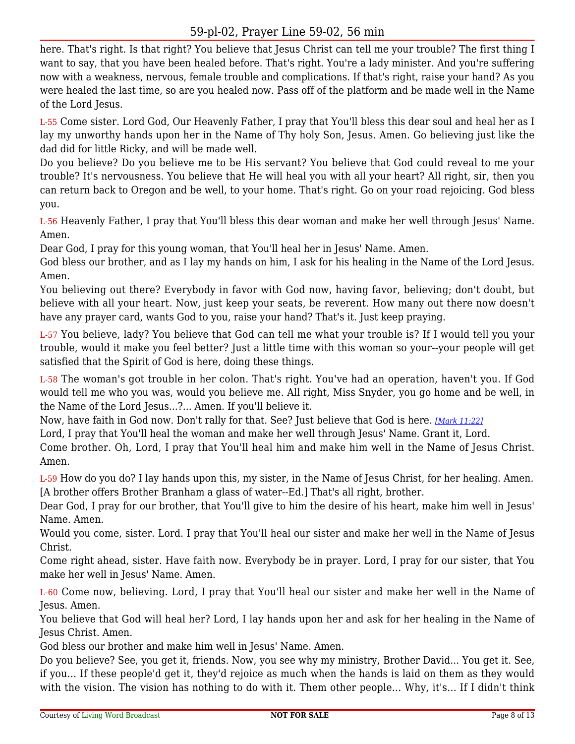here. That's right. Is that right? You believe that Jesus Christ can tell me your trouble? The first thing I want to say, that you have been healed before. That's right. You're a lady minister. And you're suffering now with a weakness, nervous, female trouble and complications. If that's right, raise your hand? As you were healed the last time, so are you healed now. Pass off of the platform and be made well in the Name of the Lord Jesus.

L-55 Come sister. Lord God, Our Heavenly Father, I pray that You'll bless this dear soul and heal her as I lay my unworthy hands upon her in the Name of Thy holy Son, Jesus. Amen. Go believing just like the dad did for little Ricky, and will be made well.

Do you believe? Do you believe me to be His servant? You believe that God could reveal to me your trouble? It's nervousness. You believe that He will heal you with all your heart? All right, sir, then you can return back to Oregon and be well, to your home. That's right. Go on your road rejoicing. God bless you.

L-56 Heavenly Father, I pray that You'll bless this dear woman and make her well through Jesus' Name. Amen.

Dear God, I pray for this young woman, that You'll heal her in Jesus' Name. Amen.

God bless our brother, and as I lay my hands on him, I ask for his healing in the Name of the Lord Jesus. Amen.

You believing out there? Everybody in favor with God now, having favor, believing; don't doubt, but believe with all your heart. Now, just keep your seats, be reverent. How many out there now doesn't have any prayer card, wants God to you, raise your hand? That's it. Just keep praying.

L-57 You believe, lady? You believe that God can tell me what your trouble is? If I would tell you your trouble, would it make you feel better? Just a little time with this woman so your--your people will get satisfied that the Spirit of God is here, doing these things.

L-58 The woman's got trouble in her colon. That's right. You've had an operation, haven't you. If God would tell me who you was, would you believe me. All right, Miss Snyder, you go home and be well, in the Name of the Lord Jesus...?... Amen. If you'll believe it.

Now, have faith in God now. Don't rally for that. See? Just believe that God is here. *[\[Mark 11:22\]](https://www.livingwordbroadcast.org/LWBKJVBible/?scripture=Mark11:22)*

Lord, I pray that You'll heal the woman and make her well through Jesus' Name. Grant it, Lord.

Come brother. Oh, Lord, I pray that You'll heal him and make him well in the Name of Jesus Christ. Amen.

L-59 How do you do? I lay hands upon this, my sister, in the Name of Jesus Christ, for her healing. Amen. [A brother offers Brother Branham a glass of water--Ed.] That's all right, brother.

Dear God, I pray for our brother, that You'll give to him the desire of his heart, make him well in Jesus' Name. Amen.

Would you come, sister. Lord. I pray that You'll heal our sister and make her well in the Name of Jesus Christ.

Come right ahead, sister. Have faith now. Everybody be in prayer. Lord, I pray for our sister, that You make her well in Jesus' Name. Amen.

L-60 Come now, believing. Lord, I pray that You'll heal our sister and make her well in the Name of Jesus. Amen.

You believe that God will heal her? Lord, I lay hands upon her and ask for her healing in the Name of Jesus Christ. Amen.

God bless our brother and make him well in Jesus' Name. Amen.

Do you believe? See, you get it, friends. Now, you see why my ministry, Brother David... You get it. See, if you... If these people'd get it, they'd rejoice as much when the hands is laid on them as they would with the vision. The vision has nothing to do with it. Them other people... Why, it's... If I didn't think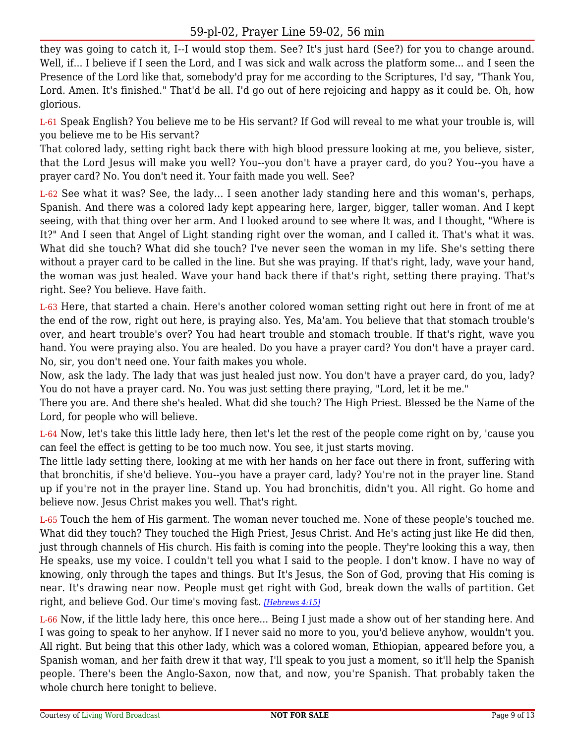they was going to catch it, I--I would stop them. See? It's just hard (See?) for you to change around. Well, if... I believe if I seen the Lord, and I was sick and walk across the platform some... and I seen the Presence of the Lord like that, somebody'd pray for me according to the Scriptures, I'd say, "Thank You, Lord. Amen. It's finished." That'd be all. I'd go out of here rejoicing and happy as it could be. Oh, how glorious.

L-61 Speak English? You believe me to be His servant? If God will reveal to me what your trouble is, will you believe me to be His servant?

That colored lady, setting right back there with high blood pressure looking at me, you believe, sister, that the Lord Jesus will make you well? You--you don't have a prayer card, do you? You--you have a prayer card? No. You don't need it. Your faith made you well. See?

L-62 See what it was? See, the lady... I seen another lady standing here and this woman's, perhaps, Spanish. And there was a colored lady kept appearing here, larger, bigger, taller woman. And I kept seeing, with that thing over her arm. And I looked around to see where It was, and I thought, "Where is It?" And I seen that Angel of Light standing right over the woman, and I called it. That's what it was. What did she touch? What did she touch? I've never seen the woman in my life. She's setting there without a prayer card to be called in the line. But she was praying. If that's right, lady, wave your hand, the woman was just healed. Wave your hand back there if that's right, setting there praying. That's right. See? You believe. Have faith.

L-63 Here, that started a chain. Here's another colored woman setting right out here in front of me at the end of the row, right out here, is praying also. Yes, Ma'am. You believe that that stomach trouble's over, and heart trouble's over? You had heart trouble and stomach trouble. If that's right, wave you hand. You were praying also. You are healed. Do you have a prayer card? You don't have a prayer card. No, sir, you don't need one. Your faith makes you whole.

Now, ask the lady. The lady that was just healed just now. You don't have a prayer card, do you, lady? You do not have a prayer card. No. You was just setting there praying, "Lord, let it be me."

There you are. And there she's healed. What did she touch? The High Priest. Blessed be the Name of the Lord, for people who will believe.

L-64 Now, let's take this little lady here, then let's let the rest of the people come right on by, 'cause you can feel the effect is getting to be too much now. You see, it just starts moving.

The little lady setting there, looking at me with her hands on her face out there in front, suffering with that bronchitis, if she'd believe. You--you have a prayer card, lady? You're not in the prayer line. Stand up if you're not in the prayer line. Stand up. You had bronchitis, didn't you. All right. Go home and believe now. Jesus Christ makes you well. That's right.

L-65 Touch the hem of His garment. The woman never touched me. None of these people's touched me. What did they touch? They touched the High Priest, Jesus Christ. And He's acting just like He did then, just through channels of His church. His faith is coming into the people. They're looking this a way, then He speaks, use my voice. I couldn't tell you what I said to the people. I don't know. I have no way of knowing, only through the tapes and things. But It's Jesus, the Son of God, proving that His coming is near. It's drawing near now. People must get right with God, break down the walls of partition. Get right, and believe God. Our time's moving fast. *[\[Hebrews 4:15\]](https://www.livingwordbroadcast.org/LWBKJVBible/?scripture=Hebrews4:15)*

L-66 Now, if the little lady here, this once here... Being I just made a show out of her standing here. And I was going to speak to her anyhow. If I never said no more to you, you'd believe anyhow, wouldn't you. All right. But being that this other lady, which was a colored woman, Ethiopian, appeared before you, a Spanish woman, and her faith drew it that way, I'll speak to you just a moment, so it'll help the Spanish people. There's been the Anglo-Saxon, now that, and now, you're Spanish. That probably taken the whole church here tonight to believe.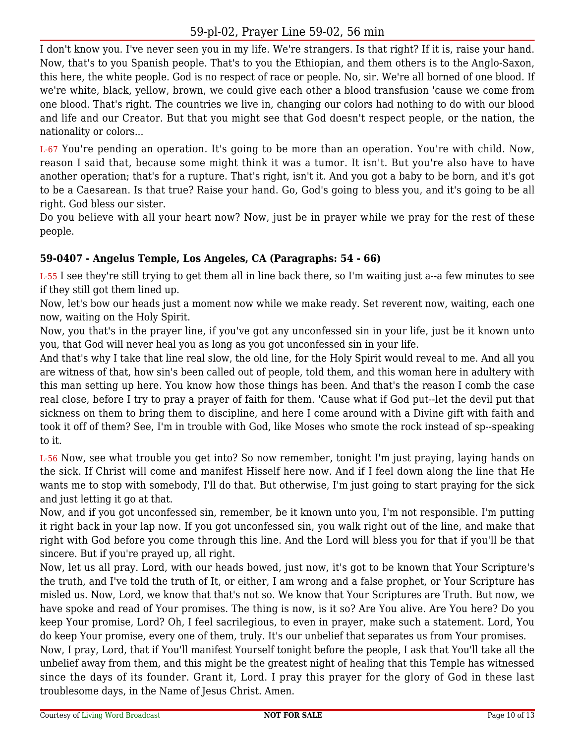I don't know you. I've never seen you in my life. We're strangers. Is that right? If it is, raise your hand. Now, that's to you Spanish people. That's to you the Ethiopian, and them others is to the Anglo-Saxon, this here, the white people. God is no respect of race or people. No, sir. We're all borned of one blood. If we're white, black, yellow, brown, we could give each other a blood transfusion 'cause we come from one blood. That's right. The countries we live in, changing our colors had nothing to do with our blood and life and our Creator. But that you might see that God doesn't respect people, or the nation, the nationality or colors...

L-67 You're pending an operation. It's going to be more than an operation. You're with child. Now, reason I said that, because some might think it was a tumor. It isn't. But you're also have to have another operation; that's for a rupture. That's right, isn't it. And you got a baby to be born, and it's got to be a Caesarean. Is that true? Raise your hand. Go, God's going to bless you, and it's going to be all right. God bless our sister.

Do you believe with all your heart now? Now, just be in prayer while we pray for the rest of these people.

#### **59-0407 - Angelus Temple, Los Angeles, CA (Paragraphs: 54 - 66)**

L-55 I see they're still trying to get them all in line back there, so I'm waiting just a--a few minutes to see if they still got them lined up.

Now, let's bow our heads just a moment now while we make ready. Set reverent now, waiting, each one now, waiting on the Holy Spirit.

Now, you that's in the prayer line, if you've got any unconfessed sin in your life, just be it known unto you, that God will never heal you as long as you got unconfessed sin in your life.

And that's why I take that line real slow, the old line, for the Holy Spirit would reveal to me. And all you are witness of that, how sin's been called out of people, told them, and this woman here in adultery with this man setting up here. You know how those things has been. And that's the reason I comb the case real close, before I try to pray a prayer of faith for them. 'Cause what if God put--let the devil put that sickness on them to bring them to discipline, and here I come around with a Divine gift with faith and took it off of them? See, I'm in trouble with God, like Moses who smote the rock instead of sp--speaking to it.

L-56 Now, see what trouble you get into? So now remember, tonight I'm just praying, laying hands on the sick. If Christ will come and manifest Hisself here now. And if I feel down along the line that He wants me to stop with somebody, I'll do that. But otherwise, I'm just going to start praying for the sick and just letting it go at that.

Now, and if you got unconfessed sin, remember, be it known unto you, I'm not responsible. I'm putting it right back in your lap now. If you got unconfessed sin, you walk right out of the line, and make that right with God before you come through this line. And the Lord will bless you for that if you'll be that sincere. But if you're prayed up, all right.

Now, let us all pray. Lord, with our heads bowed, just now, it's got to be known that Your Scripture's the truth, and I've told the truth of It, or either, I am wrong and a false prophet, or Your Scripture has misled us. Now, Lord, we know that that's not so. We know that Your Scriptures are Truth. But now, we have spoke and read of Your promises. The thing is now, is it so? Are You alive. Are You here? Do you keep Your promise, Lord? Oh, I feel sacrilegious, to even in prayer, make such a statement. Lord, You do keep Your promise, every one of them, truly. It's our unbelief that separates us from Your promises.

Now, I pray, Lord, that if You'll manifest Yourself tonight before the people, I ask that You'll take all the unbelief away from them, and this might be the greatest night of healing that this Temple has witnessed since the days of its founder. Grant it, Lord. I pray this prayer for the glory of God in these last troublesome days, in the Name of Jesus Christ. Amen.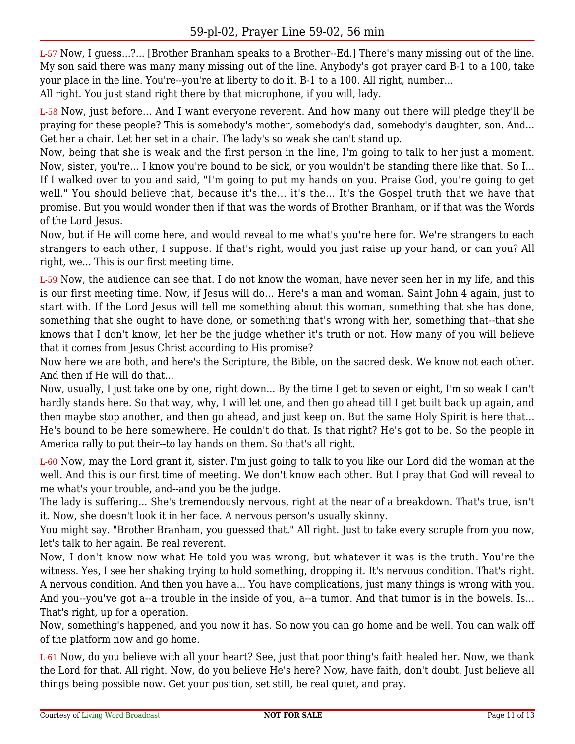L-57 Now, I guess...?... [Brother Branham speaks to a Brother--Ed.] There's many missing out of the line. My son said there was many many missing out of the line. Anybody's got prayer card B-1 to a 100, take your place in the line. You're--you're at liberty to do it. B-1 to a 100. All right, number...

All right. You just stand right there by that microphone, if you will, lady.

L-58 Now, just before... And I want everyone reverent. And how many out there will pledge they'll be praying for these people? This is somebody's mother, somebody's dad, somebody's daughter, son. And... Get her a chair. Let her set in a chair. The lady's so weak she can't stand up.

Now, being that she is weak and the first person in the line, I'm going to talk to her just a moment. Now, sister, you're... I know you're bound to be sick, or you wouldn't be standing there like that. So I... If I walked over to you and said, "I'm going to put my hands on you. Praise God, you're going to get well." You should believe that, because it's the... it's the... It's the Gospel truth that we have that promise. But you would wonder then if that was the words of Brother Branham, or if that was the Words of the Lord Jesus.

Now, but if He will come here, and would reveal to me what's you're here for. We're strangers to each strangers to each other, I suppose. If that's right, would you just raise up your hand, or can you? All right, we... This is our first meeting time.

L-59 Now, the audience can see that. I do not know the woman, have never seen her in my life, and this is our first meeting time. Now, if Jesus will do... Here's a man and woman, Saint John 4 again, just to start with. If the Lord Jesus will tell me something about this woman, something that she has done, something that she ought to have done, or something that's wrong with her, something that--that she knows that I don't know, let her be the judge whether it's truth or not. How many of you will believe that it comes from Jesus Christ according to His promise?

Now here we are both, and here's the Scripture, the Bible, on the sacred desk. We know not each other. And then if He will do that...

Now, usually, I just take one by one, right down... By the time I get to seven or eight, I'm so weak I can't hardly stands here. So that way, why, I will let one, and then go ahead till I get built back up again, and then maybe stop another, and then go ahead, and just keep on. But the same Holy Spirit is here that... He's bound to be here somewhere. He couldn't do that. Is that right? He's got to be. So the people in America rally to put their--to lay hands on them. So that's all right.

L-60 Now, may the Lord grant it, sister. I'm just going to talk to you like our Lord did the woman at the well. And this is our first time of meeting. We don't know each other. But I pray that God will reveal to me what's your trouble, and--and you be the judge.

The lady is suffering... She's tremendously nervous, right at the near of a breakdown. That's true, isn't it. Now, she doesn't look it in her face. A nervous person's usually skinny.

You might say. "Brother Branham, you guessed that." All right. Just to take every scruple from you now, let's talk to her again. Be real reverent.

Now, I don't know now what He told you was wrong, but whatever it was is the truth. You're the witness. Yes, I see her shaking trying to hold something, dropping it. It's nervous condition. That's right. A nervous condition. And then you have a... You have complications, just many things is wrong with you. And you--you've got a--a trouble in the inside of you, a--a tumor. And that tumor is in the bowels. Is... That's right, up for a operation.

Now, something's happened, and you now it has. So now you can go home and be well. You can walk off of the platform now and go home.

L-61 Now, do you believe with all your heart? See, just that poor thing's faith healed her. Now, we thank the Lord for that. All right. Now, do you believe He's here? Now, have faith, don't doubt. Just believe all things being possible now. Get your position, set still, be real quiet, and pray.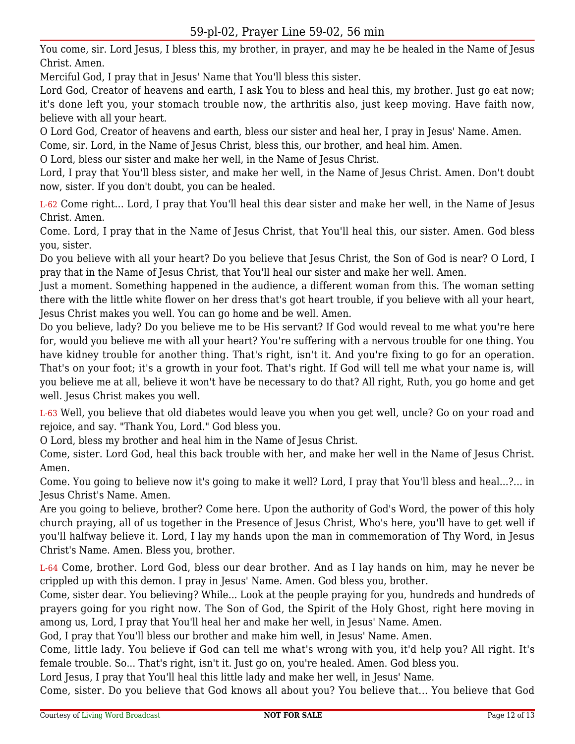You come, sir. Lord Jesus, I bless this, my brother, in prayer, and may he be healed in the Name of Jesus Christ. Amen.

Merciful God, I pray that in Jesus' Name that You'll bless this sister.

Lord God, Creator of heavens and earth, I ask You to bless and heal this, my brother. Just go eat now; it's done left you, your stomach trouble now, the arthritis also, just keep moving. Have faith now, believe with all your heart.

O Lord God, Creator of heavens and earth, bless our sister and heal her, I pray in Jesus' Name. Amen.

Come, sir. Lord, in the Name of Jesus Christ, bless this, our brother, and heal him. Amen.

O Lord, bless our sister and make her well, in the Name of Jesus Christ.

Lord, I pray that You'll bless sister, and make her well, in the Name of Jesus Christ. Amen. Don't doubt now, sister. If you don't doubt, you can be healed.

L-62 Come right... Lord, I pray that You'll heal this dear sister and make her well, in the Name of Jesus Christ. Amen.

Come. Lord, I pray that in the Name of Jesus Christ, that You'll heal this, our sister. Amen. God bless you, sister.

Do you believe with all your heart? Do you believe that Jesus Christ, the Son of God is near? O Lord, I pray that in the Name of Jesus Christ, that You'll heal our sister and make her well. Amen.

Just a moment. Something happened in the audience, a different woman from this. The woman setting there with the little white flower on her dress that's got heart trouble, if you believe with all your heart, Jesus Christ makes you well. You can go home and be well. Amen.

Do you believe, lady? Do you believe me to be His servant? If God would reveal to me what you're here for, would you believe me with all your heart? You're suffering with a nervous trouble for one thing. You have kidney trouble for another thing. That's right, isn't it. And you're fixing to go for an operation. That's on your foot; it's a growth in your foot. That's right. If God will tell me what your name is, will you believe me at all, believe it won't have be necessary to do that? All right, Ruth, you go home and get well. Jesus Christ makes you well.

L-63 Well, you believe that old diabetes would leave you when you get well, uncle? Go on your road and rejoice, and say. "Thank You, Lord." God bless you.

O Lord, bless my brother and heal him in the Name of Jesus Christ.

Come, sister. Lord God, heal this back trouble with her, and make her well in the Name of Jesus Christ. Amen.

Come. You going to believe now it's going to make it well? Lord, I pray that You'll bless and heal...?... in Jesus Christ's Name. Amen.

Are you going to believe, brother? Come here. Upon the authority of God's Word, the power of this holy church praying, all of us together in the Presence of Jesus Christ, Who's here, you'll have to get well if you'll halfway believe it. Lord, I lay my hands upon the man in commemoration of Thy Word, in Jesus Christ's Name. Amen. Bless you, brother.

L-64 Come, brother. Lord God, bless our dear brother. And as I lay hands on him, may he never be crippled up with this demon. I pray in Jesus' Name. Amen. God bless you, brother.

Come, sister dear. You believing? While... Look at the people praying for you, hundreds and hundreds of prayers going for you right now. The Son of God, the Spirit of the Holy Ghost, right here moving in among us, Lord, I pray that You'll heal her and make her well, in Jesus' Name. Amen.

God, I pray that You'll bless our brother and make him well, in Jesus' Name. Amen.

Come, little lady. You believe if God can tell me what's wrong with you, it'd help you? All right. It's female trouble. So... That's right, isn't it. Just go on, you're healed. Amen. God bless you.

Lord Jesus, I pray that You'll heal this little lady and make her well, in Jesus' Name.

Come, sister. Do you believe that God knows all about you? You believe that... You believe that God